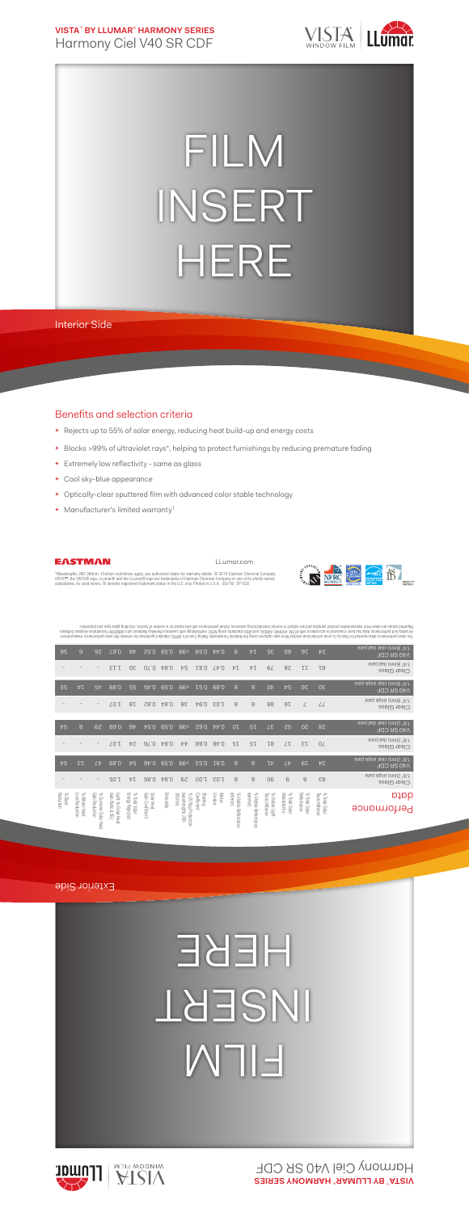**VISTA**™  **BY LLUMAR**®  **HARMONY SERIES** Harmony Ciel V40 SR CDF



## FILM INSERT HERE

Interior Side

## Benefits and selection criteria

- **+** Rejects up to 55% of solar energy, reducing heat build-up and energy costs
- **+** Blocks >99% of ultraviolet rays\*, helping to protect furnishings by reducing premature fading
- **+** Extremely low reflectivity same as glass
- **+** Cool sky-blue appearance
- **+** Optically-clear sputtered film with advanced color stable technology
- **+** Manufacturer's limited warranty†



LLumar.com



"Wavelengths 280-380nm. †Certain restrictions apply; see authorized dealer for warranty details. © 2016 Eastman Chemical Company.<br>VISTA™, the VISTA® logo, LLumar® and the LLumar® logo are trademarks of Eastman Chemical Com